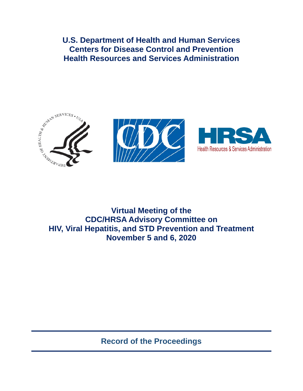**U.S. Department of Health and Human Services Centers for Disease Control and Prevention Health Resources and Services Administration** 





# **Virtual Meeting of the CDC/HRSA Advisory Committee on HIV, Viral Hepatitis, and STD Prevention and Treatment November 5 and 6, 2020**

**Record of the Proceedings**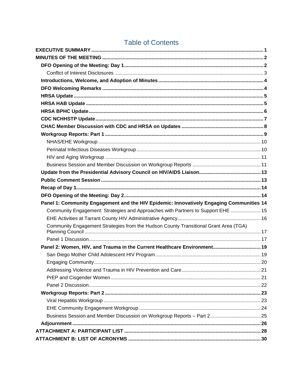| Panel 1: Community Engagement and the HIV Epidemic: Innovatively Engaging Communities 14 |
|------------------------------------------------------------------------------------------|
| Community Engagement: Strategies and Approaches with Partners to Support EHE  15         |
|                                                                                          |
| Community Engagement Strategies from the Hudson County Transitional Grant Area (TGA)     |
|                                                                                          |
| Panel 2: Women, HIV, and Trauma in the Current Healthcare Environment 19                 |
|                                                                                          |
|                                                                                          |
|                                                                                          |
|                                                                                          |
|                                                                                          |
|                                                                                          |
|                                                                                          |
|                                                                                          |
|                                                                                          |
|                                                                                          |
|                                                                                          |

# **Table of Contents**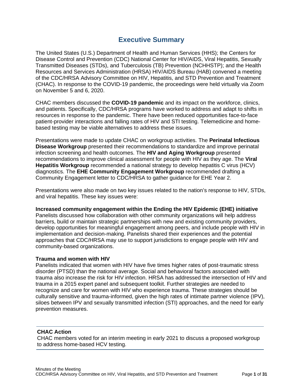## **Executive Summary**

<span id="page-2-0"></span>The United States (U.S.) Department of Health and Human Services (HHS); the Centers for Disease Control and Prevention (CDC) National Center for HIV/AIDS, Viral Hepatitis, Sexually Transmitted Diseases (STDs), and Tuberculosis (TB) Prevention (NCHHSTP); and the Health Resources and Services Administration (HRSA) HIV/AIDS Bureau (HAB) convened a meeting of the CDC/HRSA Advisory Committee on HIV, Hepatitis, and STD Prevention and Treatment (CHAC). In response to the COVID-19 pandemic, the proceedings were held virtually via Zoom on November 5 and 6, 2020.

CHAC members discussed the **COVID-19 pandemic** and its impact on the workforce, clinics, and patients. Specifically, CDC/HRSA programs have worked to address and adapt to shifts in resources in response to the pandemic. There have been reduced opportunities face-to-face patient-provider interactions and falling rates of HIV and STI testing. Telemedicine and homebased testing may be viable alternatives to address these issues.

Presentations were made to update CHAC on workgroup activities. The **Perinatal Infectious Disease Workgroup** presented their recommendations to standardize and improve perinatal infection screening and health outcomes. The **HIV and Aging Workgroup** presented recommendations to improve clinical assessment for people with HIV as they age. The **Viral Hepatitis Workgroup** recommended a national strategy to develop hepatitis C virus (HCV) diagnostics. The **EHE Community Engagement Workgroup** recommended drafting a Community Engagement letter to CDC/HRSA to gather guidance for EHE Year 2.

Presentations were also made on two key issues related to the nation's response to HIV, STDs, and viral hepatitis. These key issues were:

#### **Increased community engagement within the Ending the HIV Epidemic (EHE) initiative**

Panelists discussed how collaboration with other community organizations will help address barriers, build or maintain strategic partnerships with new and existing community providers, develop opportunities for meaningful engagement among peers, and include people with HIV in implementation and decision-making. Panelists shared their experiences and the potential approaches that CDC/HRSA may use to support jurisdictions to engage people with HIV and community-based organizations.

#### **Trauma and women with HIV**

Panelists indicated that women with HIV have five times higher rates of post-traumatic stress disorder (PTSD) than the national average. Social and behavioral factors associated with trauma also increase the risk for HIV infection. HRSA has addressed the intersection of HIV and trauma in a 2015 expert panel and subsequent toolkit. Further strategies are needed to recognize and care for women with HIV who experience trauma. These strategies should be culturally sensitive and trauma-informed, given the high rates of intimate partner violence (IPV), siloes between IPV and sexually transmitted infection (STI) approaches, and the need for early prevention measures.

#### **CHAC Action**

CHAC members voted for an interim meeting in early 2021 to discuss a proposed workgroup to address home-based HCV testing.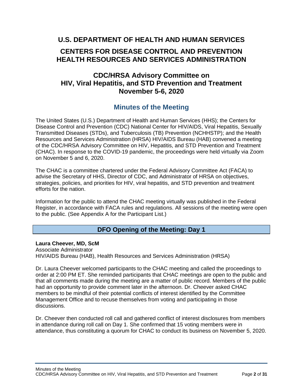## **U.S. DEPARTMENT OF HEALTH AND HUMAN SERVICES**

## **CENTERS FOR DISEASE CONTROL AND PREVENTION HEALTH RESOURCES AND SERVICES ADMINISTRATION**

## **CDC/HRSA Advisory Committee on HIV, Viral Hepatitis, and STD Prevention and Treatment November 5-6, 2020**

## **Minutes of the Meeting**

<span id="page-3-0"></span>The United States (U.S.) Department of Health and Human Services (HHS); the Centers for Disease Control and Prevention (CDC) National Center for HIV/AIDS, Viral Hepatitis, Sexually Transmitted Diseases (STDs), and Tuberculosis (TB) Prevention (NCHHSTP); and the Health Resources and Services Administration (HRSA) HIV/AIDS Bureau (HAB) convened a meeting of the CDC/HRSA Advisory Committee on HIV, Hepatitis, and STD Prevention and Treatment (CHAC). In response to the COVID-19 pandemic, the proceedings were held virtually via Zoom on November 5 and 6, 2020.

The CHAC is a committee chartered under the Federal Advisory Committee Act (FACA) to advise the Secretary of HHS, Director of CDC, and Administrator of HRSA on objectives, strategies, policies, and priorities for HIV, viral hepatitis, and STD prevention and treatment efforts for the nation.

Information for the public to attend the CHAC meeting virtually was published in the Federal Register, in accordance with FACA rules and regulations. All sessions of the meeting were open to the public. (See Appendix A for the Participant List.)

## **DFO Opening of the Meeting: Day 1**

<span id="page-3-1"></span>**Laura Cheever, MD, ScM**  Associate Administrator HIV/AIDS Bureau (HAB), Health Resources and Services Administration (HRSA)

Dr. Laura Cheever welcomed participants to the CHAC meeting and called the proceedings to order at 2:00 PM ET. She reminded participants that CHAC meetings are open to the public and that all comments made during the meeting are a matter of public record. Members of the public had an opportunity to provide comment later in the afternoon. Dr. Cheever asked CHAC members to be mindful of their potential conflicts of interest identified by the Committee Management Office and to recuse themselves from voting and participating in those discussions.

Dr. Cheever then conducted roll call and gathered conflict of interest disclosures from members in attendance during roll call on Day 1. She confirmed that 15 voting members were in attendance, thus constituting a quorum for CHAC to conduct its business on November 5, 2020.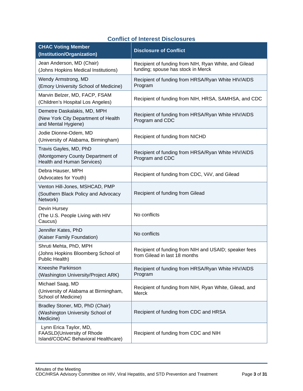|  |  |  | <b>Conflict of Interest Disclosures</b> |  |
|--|--|--|-----------------------------------------|--|
|--|--|--|-----------------------------------------|--|

<span id="page-4-0"></span>

| <b>CHAC Voting Member</b><br>(Institution/Organization)                                         | <b>Disclosure of Conflict</b>                                                               |
|-------------------------------------------------------------------------------------------------|---------------------------------------------------------------------------------------------|
| Jean Anderson, MD (Chair)<br>(Johns Hopkins Medical Institutions)                               | Recipient of funding from NIH, Ryan White, and Gilead<br>funding; spouse has stock in Merck |
| Wendy Armstrong, MD<br>(Emory University School of Medicine)                                    | Recipient of funding from HRSA/Ryan White HIV/AIDS<br>Program                               |
| Marvin Belzer, MD, FACP, FSAM<br>(Children's Hospital Los Angeles)                              | Recipient of funding from NIH, HRSA, SAMHSA, and CDC                                        |
| Demetre Daskalakis, MD, MPH<br>(New York City Department of Health<br>and Mental Hygiene)       | Recipient of funding from HRSA/Ryan White HIV/AIDS<br>Program and CDC                       |
| Jodie Dionne-Odem, MD<br>(University of Alabama, Birmingham)                                    | Recipient of funding from NICHD                                                             |
| Travis Gayles, MD, PhD<br>(Montgomery County Department of<br><b>Health and Human Services)</b> | Recipient of funding from HRSA/Ryan White HIV/AIDS<br>Program and CDC                       |
| Debra Hauser, MPH<br>(Advocates for Youth)                                                      | Recipient of funding from CDC, ViiV, and Gilead                                             |
| Venton Hill-Jones, MSHCAD, PMP<br>(Southern Black Policy and Advocacy<br>Network)               | Recipient of funding from Gilead                                                            |
| Devin Hursey<br>(The U.S. People Living with HIV<br>Caucus)                                     | No conflicts                                                                                |
| Jennifer Kates, PhD<br>(Kaiser Family Foundation)                                               | No conflicts                                                                                |
| Shruti Mehta, PhD, MPH<br>(Johns Hopkins Bloomberg School of<br>Public Health)                  | Recipient of funding from NIH and USAID; speaker fees<br>from Gilead in last 18 months      |
| Kneeshe Parkinson<br>(Washington University/Project ARK)                                        | Recipient of funding from HRSA/Ryan White HIV/AIDS<br>Program                               |
| Michael Saag, MD<br>(University of Alabama at Birmingham,<br>School of Medicine)                | Recipient of funding from NIH, Ryan White, Gilead, and<br>Merck                             |
| Bradley Stoner, MD, PhD (Chair)<br>(Washington University School of<br>Medicine)                | Recipient of funding from CDC and HRSA                                                      |
| Lynn Erica Taylor, MD,<br>FAASLD(University of Rhode<br>Island/CODAC Behavioral Healthcare)     | Recipient of funding from CDC and NIH                                                       |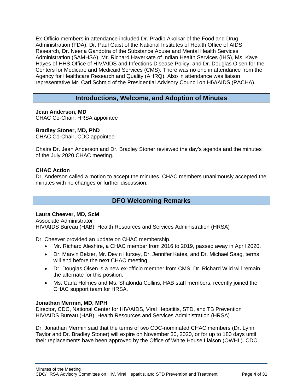Ex-Officio members in attendance included Dr. Pradip Akolkar of the Food and Drug Administration (FDA), Dr. Paul Gaist of the National Institutes of Health Office of AIDS Research, Dr. Neerja Gandotra of the Substance Abuse and Mental Health Services Administration (SAMHSA), Mr. Richard Haverkate of Indian Health Services (IHS), Ms. Kaye Hayes of HHS Office of HIV/AIDS and Infections Disease Policy, and Dr. Douglas Olsen for the Centers for Medicare and Medicaid Services (CMS). There was no one in attendance from the Agency for Healthcare Research and Quality (AHRQ). Also in attendance was liaison representative Mr. Carl Schmid of the Presidential Advisory Council on HIV/AIDS (PACHA).

## **Introductions, Welcome, and Adoption of Minutes**

<span id="page-5-0"></span>**Jean Anderson, MD** CHAC Co-Chair, HRSA appointee

#### **Bradley Stoner, MD, PhD**

CHAC Co-Chair, CDC appointee

Chairs Dr. Jean Anderson and Dr. Bradley Stoner reviewed the day's agenda and the minutes of the July 2020 CHAC meeting.

#### **CHAC Action**

Dr. Anderson called a motion to accept the minutes. CHAC members unanimously accepted the minutes with no changes or further discussion.

## **DFO Welcoming Remarks**

#### <span id="page-5-1"></span>**Laura Cheever, MD, ScM**

Associate Administrator HIV/AIDS Bureau (HAB), Health Resources and Services Administration (HRSA)

Dr. Cheever provided an update on CHAC membership.

- Mr. Richard Aleshire, a CHAC member from 2016 to 2019, passed away in April 2020.
- Dr. Marvin Belzer, Mr. Devin Hursey, Dr. Jennifer Kates, and Dr. Michael Saag, terms will end before the next CHAC meeting.
- Dr. Douglas Olsen is a new ex-officio member from CMS; Dr. Richard Wild will remain the alternate for this position.
- Ms. Carla Holmes and Ms. Shalonda Collins, HAB staff members, recently joined the CHAC support team for HRSA.

#### **Jonathan Mermin, MD, MPH**

Director, CDC, National Center for HIV/AIDS, Viral Hepatitis, STD, and TB Prevention HIV/AIDS Bureau (HAB), Health Resources and Services Administration (HRSA)

Dr. Jonathan Mermin said that the terms of two CDC-nominated CHAC members (Dr. Lynn Taylor and Dr. Bradley Stoner) will expire on November 30, 2020, or for up to 180 days until their replacements have been approved by the Office of White House Liaison (OWHL). CDC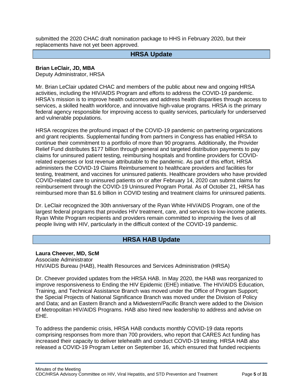<span id="page-6-0"></span>submitted the 2020 CHAC draft nomination package to HHS in February 2020, but their replacements have not yet been approved.

### **HRSA Update**

**Brian LeClair, JD, MBA**

Deputy Administrator, HRSA

Mr. Brian LeClair updated CHAC and members of the public about new and ongoing HRSA activities, including the HIV/AIDS Program and efforts to address the COVID-19 pandemic. HRSA's mission is to improve health outcomes and address health disparities through access to services, a skilled health workforce, and innovative high-value programs. HRSA is the primary federal agency responsible for improving access to quality services, particularly for underserved and vulnerable populations.

HRSA recognizes the profound impact of the COVID-19 pandemic on partnering organizations and grant recipients. Supplemental funding from partners in Congress has enabled HRSA to continue their commitment to a portfolio of more than 90 programs. Additionally, the Provider Relief Fund distributes \$177 billion through general and targeted distribution payments to pay claims for uninsured patient testing, reimbursing hospitals and frontline providers for COVIDrelated expenses or lost revenue attributable to the pandemic. As part of this effort, HRSA administers the COVID-19 Claims Reimbursement to healthcare providers and facilities for testing, treatment, and vaccines for uninsured patients. Healthcare providers who have provided COVID-related care to uninsured patients on or after February 14, 2020 can submit claims for reimbursement through the COVID-19 Uninsured Program Portal. As of October 21, HRSA has reimbursed more than \$1.6 billion in COVID testing and treatment claims for uninsured patients.

Dr. LeClair recognized the 30th anniversary of the Ryan White HIV/AIDS Program, one of the largest federal programs that provides HIV treatment, care, and services to low-income patients. Ryan White Program recipients and providers remain committed to improving the lives of all people living with HIV, particularly in the difficult context of the COVID-19 pandemic.

## **HRSA HAB Update**

<span id="page-6-1"></span>**Laura Cheever, MD, ScM**  Associate Administrator HIV/AIDS Bureau (HAB), Health Resources and Services Administration (HRSA)

Dr. Cheever provided updates from the HRSA HAB. In May 2020, the HAB was reorganized to improve responsiveness to Ending the HIV Epidemic (EHE) initiative. The HIV/AIDS Education, Training, and Technical Assistance Branch was moved under the Office of Program Support; the Special Projects of National Significance Branch was moved under the Division of Policy and Data; and an Eastern Branch and a Midwestern/Pacific Branch were added to the Division of Metropolitan HIV/AIDS Programs. HAB also hired new leadership to address and advise on EHE.

To address the pandemic crisis, HRSA HAB conducts monthly COVID-19 data reports comprising responses from more than 700 providers, who report that CARES Act funding has increased their capacity to deliver telehealth and conduct COVID-19 testing. HRSA HAB also released a COVID-19 Program Letter on September 16, which ensured that funded recipients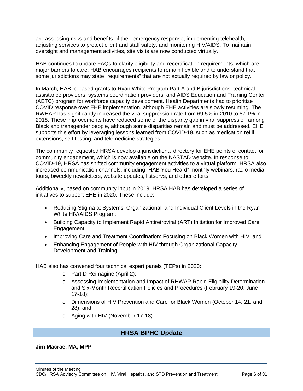are assessing risks and benefits of their emergency response, implementing telehealth, adjusting services to protect client and staff safety, and monitoring HIV/AIDS. To maintain oversight and management activities, site visits are now conducted virtually.

HAB continues to update FAQs to clarify eligibility and recertification requirements, which are major barriers to care. HAB encourages recipients to remain flexible and to understand that some jurisdictions may state "requirements" that are not actually required by law or policy.

In March, HAB released grants to Ryan White Program Part A and B jurisdictions, technical assistance providers, systems coordination providers, and AIDS Education and Training Center (AETC) program for workforce capacity development. Health Departments had to prioritize COVID response over EHE implementation, although EHE activities are slowly resuming. The RWHAP has significantly increased the viral suppression rate from 69.5% in 2010 to 87.1% in 2018. These improvements have reduced some of the disparity gap in viral suppression among Black and transgender people, although some disparities remain and must be addressed. EHE supports this effort by leveraging lessons learned from COVID-19, such as medication refill extensions, self-testing, and telemedicine strategies.

The community requested HRSA develop a jurisdictional directory for EHE points of contact for community engagement, which is now available on the NASTAD website. In response to COVID-19, HRSA has shifted community engagement activities to a virtual platform. HRSA also increased communication channels, including "HAB You Heard" monthly webinars, radio media tours, biweekly newsletters, website updates, listservs, and other efforts.

Additionally, based on community input in 2019, HRSA HAB has developed a series of initiatives to support EHE in 2020. These include:

- Reducing Stigma at Systems, Organizational, and Individual Client Levels in the Ryan White HIV/AIDS Program;
- Building Capacity to Implement Rapid Antiretroviral (ART) Initiation for Improved Care Engagement;
- Improving Care and Treatment Coordination: Focusing on Black Women with HIV; and
- Enhancing Engagement of People with HIV through Organizational Capacity Development and Training.

HAB also has convened four technical expert panels (TEPs) in 2020:

- o Part D Reimagine (April 2);
- o Assessing Implementation and Impact of RHWAP Rapid Eligibility Determination and Six-Month Recertification Policies and Procedures (February 19-20; June 17-18);
- o Dimensions of HIV Prevention and Care for Black Women (October 14, 21, and 28); and
- o Aging with HIV (November 17-18).

## **HRSA BPHC Update**

<span id="page-7-0"></span>**Jim Macrae, MA, MPP**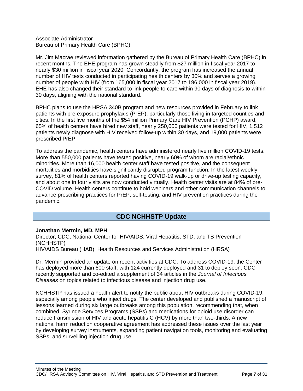#### Associate Administrator Bureau of Primary Health Care (BPHC)

Mr. Jim Macrae reviewed information gathered by the Bureau of Primary Health Care (BPHC) in recent months. The EHE program has grown steadily from \$27 million in fiscal year 2017 to nearly \$30 million in fiscal year 2020. Concordantly, the program has increased the annual number of HIV tests conducted in participating health centers by 30% and serves a growing number of people with HIV (from 165,000 in fiscal year 2017 to 196,000 in fiscal year 2019). EHE has also changed their standard to link people to care within 90 days of diagnosis to within 30 days, aligning with the national standard.

BPHC plans to use the HRSA 340B program and new resources provided in February to link patients with pre-exposure prophylaxis (PrEP), particularly those living in targeted counties and cities. In the first five months of the \$54 million Primary Care HIV Prevention (PCHP) award, 65% of health centers have hired new staff, nearly 250,000 patients were tested for HIV, 1,512 patients newly diagnose with HIV received follow-up within 30 days, and 19,000 patients were prescribed PrEP.

To address the pandemic, health centers have administered nearly five million COVID-19 tests. More than 550,000 patients have tested positive, nearly 60% of whom are racial/ethnic minorities. More than 16,000 health center staff have tested positive, and the consequent mortalities and morbidities have significantly disrupted program function. In the latest weekly survey, 81% of health centers reported having COVID-19 walk-up or drive-up testing capacity, and about one in four visits are now conducted virtually. Health center visits are at 84% of pre-COVID volume. Health centers continue to hold webinars and other communication channels to advance prescribing practices for PrEP, self-testing, and HIV prevention practices during the pandemic.

## **CDC NCHHSTP Update**

#### <span id="page-8-0"></span>**Jonathan Mermin, MD, MPH**

Director, CDC, National Center for HIV/AIDS, Viral Hepatitis, STD, and TB Prevention (NCHHSTP) HIV/AIDS Bureau (HAB), Health Resources and Services Administration (HRSA)

Dr. Mermin provided an update on recent activities at CDC. To address COVID-19, the Center has deployed more than 600 staff, with 124 currently deployed and 31 to deploy soon. CDC recently supported and co-edited a supplement of 34 articles in the *Journal of Infectious Diseases* on topics related to infectious disease and injection drug use.

NCHHSTP has issued a health alert to notify the public about HIV outbreaks during COVID-19, especially among people who inject drugs. The center developed and published a manuscript of lessons learned during six large outbreaks among this population, recommending that, when combined, Syringe Services Programs (SSPs) and medications for opioid use disorder can reduce transmission of HIV and acute hepatitis C (HCV) by more than two-thirds. A new national harm reduction cooperative agreement has addressed these issues over the last year by developing survey instruments, expanding patient navigation tools, monitoring and evaluating SSPs, and surveilling injection drug use.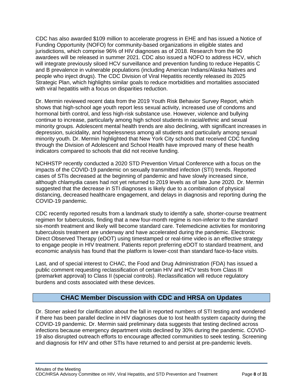CDC has also awarded \$109 million to accelerate progress in EHE and has issued a Notice of Funding Opportunity (NOFO) for community-based organizations in eligible states and jurisdictions, which comprise 96% of HIV diagnoses as of 2018. Research from the 90 awardees will be released in summer 2021. CDC also issued a NOFO to address HCV, which will integrate previously siloed HCV surveillance and prevention funding to reduce Hepatitis C and B prevalence in vulnerable populations (including American Indians/Alaska Natives and people who inject drugs). The CDC Division of Viral Hepatitis recently released its 2025 Strategic Plan, which highlights similar goals to reduce morbidities and mortalities associated with viral hepatitis with a focus on disparities reduction.

Dr. Mermin reviewed recent data from the 2019 Youth Risk Behavior Survey Report, which shows that high-school age youth report less sexual activity, increased use of condoms and hormonal birth control, and less high-risk substance use. However, violence and bullying continue to increase, particularly among high school students in racial/ethnic and sexual minority groups. Adolescent mental health trends are also declining, with significant increases in depression, suicidality, and hopelessness among all students and particularly among sexual minority youth. Dr. Mermin highlighted that New York City schools that received CDC funding through the Division of Adolescent and School Health have improved many of these health indicators compared to schools that did not receive funding.

NCHHSTP recently conducted a 2020 STD Prevention Virtual Conference with a focus on the impacts of the COVID-19 pandemic on sexually transmitted infection (STI) trends. Reported cases of STIs decreased at the beginning of pandemic and have slowly increased since, although chlamydia cases had not yet returned to 2019 levels as of late June 2020. Dr. Mermin suggested that the decrease in STI diagnoses is likely due to a combination of physical distancing, decreased healthcare engagement, and delays in diagnosis and reporting during the COVID-19 pandemic.

CDC recently reported results from a landmark study to identify a safe, shorter-course treatment regimen for tuberculosis, finding that a new four-month regime is non-inferior to the standard six-month treatment and likely will become standard care. Telemedicine activities for monitoring tuberculosis treatment are underway and have accelerated during the pandemic. Electronic Direct Observed Therapy (eDOT) using timestamped or real-time video is an effective strategy to engage people in HIV treatment. Patients report preferring eDOT to standard treatment, and economic analysis has found that the platform is lower-cost than standard face-to-face visits.

Last, and of special interest to CHAC, the Food and Drug Administration (FDA) has issued a public comment requesting reclassification of certain HIV and HCV tests from Class III (premarket approval) to Class II (special controls). Reclassification will reduce regulatory burdens and costs associated with these devices.

## **CHAC Member Discussion with CDC and HRSA on Updates**

<span id="page-9-0"></span>Dr. Stoner asked for clarification about the fall in reported numbers of STI testing and wondered if there has been parallel decline in HIV diagnoses due to lost health system capacity during the COVID-19 pandemic. Dr. Mermin said preliminary data suggests that testing declined across infections because emergency department visits declined by 30% during the pandemic. COVID-19 also disrupted outreach efforts to encourage affected communities to seek testing. Screening and diagnosis for HIV and other STIs have returned to and persist at pre-pandemic levels.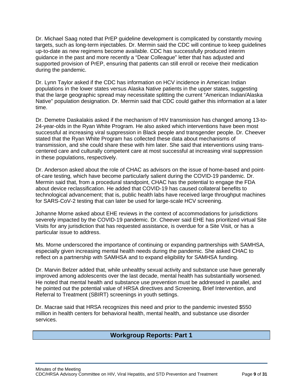Dr. Michael Saag noted that PrEP guideline development is complicated by constantly moving targets, such as long-term injectables. Dr. Mermin said the CDC will continue to keep guidelines up-to-date as new regimens become available. CDC has successfully produced interim guidance in the past and more recently a "Dear Colleague" letter that has adjusted and supported provision of PrEP, ensuring that patients can still enroll or receive their medication during the pandemic.

Dr. Lynn Taylor asked if the CDC has information on HCV incidence in American Indian populations in the lower states versus Alaska Native patients in the upper states, suggesting that the large geographic spread may necessitate splitting the current "American Indian/Alaska Native" population designation. Dr. Mermin said that CDC could gather this information at a later time.

Dr. Demetre Daskalakis asked if the mechanism of HIV transmission has changed among 13-to-24-year-olds in the Ryan White Program. He also asked which interventions have been most successful at increasing viral suppression in Black people and transgender people. Dr. Cheever stated that the Ryan White Program has collected these data about mechanisms of transmission, and she could share these with him later. She said that interventions using transcentered care and culturally competent care at most successful at increasing viral suppression in these populations, respectively.

Dr. Anderson asked about the role of CHAC as advisors on the issue of home-based and pointof-care testing, which have become particularly salient during the COVID-19 pandemic. Dr. Mermin said that, from a procedural standpoint, CHAC has the potential to engage the FDA about device reclassification. He added that COVID-19 has caused collateral benefits to technological advancement; that is, public health labs have received large throughput machines for SARS-CoV-2 testing that can later be used for large-scale HCV screening.

Johanne Morne asked about EHE reviews in the context of accommodations for jurisdictions severely impacted by the COVID-19 pandemic. Dr. Cheever said EHE has prioritized virtual Site Visits for any jurisdiction that has requested assistance, is overdue for a Site Visit, or has a particular issue to address.

Ms. Morne underscored the importance of continuing or expanding partnerships with SAMHSA, especially given increasing mental health needs during the pandemic. She asked CHAC to reflect on a partnership with SAMHSA and to expand eligibility for SAMHSA funding.

Dr. Marvin Belzer added that, while unhealthy sexual activity and substance use have generally improved among adolescents over the last decade, mental health has substantially worsened. He noted that mental health and substance use prevention must be addressed in parallel, and he pointed out the potential value of HRSA directives and Screening, Brief Intervention, and Referral to Treatment (SBIRT) screenings in youth settings.

<span id="page-10-0"></span>Dr. Macrae said that HRSA recognizes this need and prior to the pandemic invested \$550 million in health centers for behavioral health, mental health, and substance use disorder services.

## **Workgroup Reports: Part 1**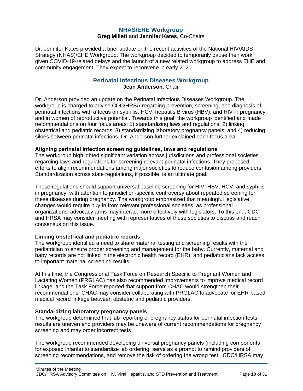### **NHAS/EHE Workgroup**

#### **Greg Millett** and **Jennifer Kates**, Co-Chairs

<span id="page-11-0"></span>Dr. Jennifer Kates provided a brief update on the recent activities of the National HIV/AIDS Strategy (NHAS)/EHE Workgroup. The workgroup decided to temporarily pause their work, given COVID-19-related delays and the launch of a new related workgroup to address EHE and community engagement. They expect to reconvene in early 2021.

#### **Perinatal Infectious Diseases Workgroup Jean Anderson**, Chair

<span id="page-11-1"></span>Dr. Anderson provided an update on the Perinatal Infectious Diseases Workgroup. The workgroup is charged to advise CDC/HRSA regarding prevention, screening, and diagnosis of perinatal infections with a focus on syphilis, HCV, hepatitis B virus (HBV), and HIV in pregnancy and in women of reproductive potential. Towards this goal, the workgroup identified and made recommendations on four focus areas: 1) standardizing laws and regulations; 2) linking obstetrical and pediatric records; 3) standardizing laboratory pregnancy panels; and 4) reducing siloes between perinatal infections. Dr. Anderson further explained each focus area.

#### **Aligning perinatal infection screening guidelines, laws and regulations**

The workgroup highlighted significant variation across jurisdictions and professional societies regarding laws and regulations for screening relevant perinatal infections. They proposed efforts to align recommendations among major societies to reduce confusion among providers. Standardization across state regulations, if possible, is an ultimate goal.

These regulations should support universal baseline screening for HIV, HBV, HCV, and syphilis in pregnancy, with attention to jurisdiction-specific controversy about repeated screening for these diseases during pregnancy. The workgroup emphasized that meaningful legislative changes would require buy-in from relevant professional societies, as professional organizations' advocacy arms may interact more effectively with legislators. To this end, CDC and HRSA may consider meeting with representatives of these societies to discuss and reach consensus on this issue.

#### **Linking obstetrical and pediatric records**

The workgroup identified a need to share maternal testing and screening results with the pediatrician to ensure proper screening and management for the baby. Currently, maternal and baby records are not linked in the electronic health record (EHR), and pediatricians lack access to important maternal screening results.

At this time, the Congressional Task Force on Research Specific to Pregnant Women and Lactating Women (PRGLAC) has also recommended improvements to improve medical record linkage, and the Task Force reported that support from CHAC would strengthen their recommendations. CHAC may consider collaborating with PRGLAC to advocate for EHR-based medical record linkage between obstetric and pediatric providers.

#### **Standardizing laboratory pregnancy panels**

The workgroup determined that lab reporting of pregnancy status for perinatal infection tests results are uneven and providers may be unaware of current recommendations for pregnancy screening and may order incorrect tests.

The workgroup recommended developing universal pregnancy panels (including components for exposed infants) to standardize lab ordering, serve as a prompt to remind providers of screening recommendations, and remove the risk of ordering the wrong test. CDC/HRSA may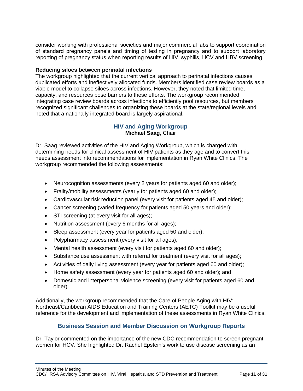consider working with professional societies and major commercial labs to support coordination of standard pregnancy panels and timing of testing in pregnancy and to support laboratory reporting of pregnancy status when reporting results of HIV, syphilis, HCV and HBV screening.

#### **Reducing siloes between perinatal infections**

The workgroup highlighted that the current vertical approach to perinatal infections causes duplicated efforts and ineffectively allocated funds. Members identified case review boards as a viable model to collapse siloes across infections. However, they noted that limited time, capacity, and resources pose barriers to these efforts. The workgroup recommended integrating case review boards across infections to efficiently pool resources, but members recognized significant challenges to organizing these boards at the state/regional levels and noted that a nationally integrated board is largely aspirational.

### **HIV and Aging Workgroup Michael Saag**, Chair

<span id="page-12-0"></span>Dr. Saag reviewed activities of the HIV and Aging Workgroup, which is charged with determining needs for clinical assessment of HIV patients as they age and to convert this needs assessment into recommendations for implementation in Ryan White Clinics. The workgroup recommended the following assessments:

- Neurocognition assessments (every 2 years for patients aged 60 and older);
- Frailty/mobility assessments (yearly for patients aged 60 and older);
- Cardiovascular risk reduction panel (every visit for patients aged 45 and older);
- Cancer screening (varied frequency for patients aged 50 years and older);
- STI screening (at every visit for all ages);
- Nutrition assessment (every 6 months for all ages);
- Sleep assessment (every year for patients aged 50 and older);
- Polypharmacy assessment (every visit for all ages);
- Mental health assessment (every visit for patients aged 60 and older);
- Substance use assessment with referral for treatment (every visit for all ages);
- Activities of daily living assessment (every year for patients aged 60 and older);
- Home safety assessment (every year for patients aged 60 and older); and
- Domestic and interpersonal violence screening (every visit for patients aged 60 and older).

Additionally, the workgroup recommended that the Care of People Aging with HIV: Northeast/Caribbean AIDS Education and Training Centers (AETC) Toolkit may be a useful reference for the development and implementation of these assessments in Ryan White Clinics.

### **Business Session and Member Discussion on Workgroup Reports**

<span id="page-12-1"></span>Dr. Taylor commented on the importance of the new CDC recommendation to screen pregnant women for HCV. She highlighted Dr. Rachel Epstein's work to use disease screening as an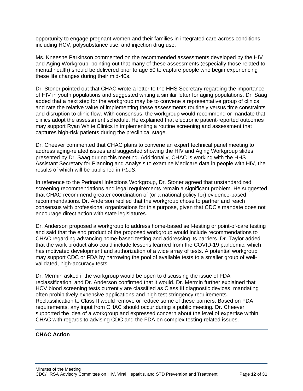opportunity to engage pregnant women and their families in integrated care across conditions, including HCV, polysubstance use, and injection drug use.

Ms. Kneeshe Parkinson commented on the recommended assessments developed by the HIV and Aging Workgroup, pointing out that many of these assessments (especially those related to mental health) should be delivered prior to age 50 to capture people who begin experiencing these life changes during their mid-40s.

Dr. Stoner pointed out that CHAC wrote a letter to the HHS Secretary regarding the importance of HIV in youth populations and suggested writing a similar letter for aging populations. Dr. Saag added that a next step for the workgroup may be to convene a representative group of clinics and rate the relative value of implementing these assessments routinely versus time constraints and disruption to clinic flow. With consensus, the workgroup would recommend or mandate that clinics adopt the assessment schedule. He explained that electronic patient-reported outcomes may support Ryan White Clinics in implementing a routine screening and assessment that captures high-risk patients during the preclinical stage.

Dr. Cheever commented that CHAC plans to convene an expert technical panel meeting to address aging-related issues and suggested showing the HIV and Aging Workgroup slides presented by Dr. Saag during this meeting. Additionally, CHAC is working with the HHS Assistant Secretary for Planning and Analysis to examine Medicare data in people with HIV, the results of which will be published in *PLoS*.

In reference to the Perinatal Infections Workgroup, Dr. Stoner agreed that unstandardized screening recommendations and legal requirements remain a significant problem. He suggested that CHAC recommend greater coordination of (or a national policy for) evidence-based recommendations. Dr. Anderson replied that the workgroup chose to partner and reach consensus with professional organizations for this purpose, given that CDC's mandate does not encourage direct action with state legislatures.

Dr. Anderson proposed a workgroup to address home-based self-testing or point-of-care testing and said that the end product of the proposed workgroup would include recommendations to CHAC regarding advancing home-based testing and addressing its barriers. Dr. Taylor added that the work product also could include lessons learned from the COVID-19 pandemic, which has motivated development and authorization of a wide array of tests. A potential workgroup may support CDC or FDA by narrowing the pool of available tests to a smaller group of wellvalidated, high-accuracy tests.

Dr. Mermin asked if the workgroup would be open to discussing the issue of FDA reclassification, and Dr. Anderson confirmed that it would. Dr. Mermin further explained that HCV blood screening tests currently are classified as Class III diagnostic devices, mandating often prohibitively expensive applications and high test stringency requirements. Reclassification to Class II would remove or reduce some of these barriers. Based on FDA requirements, any input from CHAC should occur during a public meeting. Dr. Cheever supported the idea of a workgroup and expressed concern about the level of expertise within CHAC with regards to advising CDC and the FDA on complex testing-related issues.

#### **CHAC Action**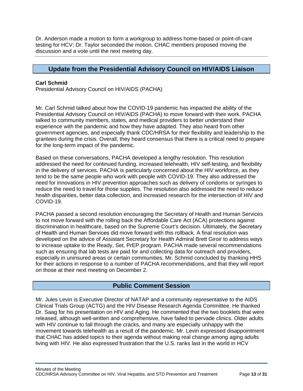Dr. Anderson made a motion to form a workgroup to address home-based or point-of-care testing for HCV; Dr. Taylor seconded the motion. CHAC members proposed moving the discussion and a vote until the next meeting day.

## <span id="page-14-0"></span>**Update from the Presidential Advisory Council on HIV/AIDS Liaison**

#### **Carl Schmid**

Presidential Advisory Council on HIV/AIDS (PACHA)

Mr. Carl Schmid talked about how the COVID-19 pandemic has impacted the ability of the Presidential Advisory Council on HIV/AIDS (PACHA) to move forward with their work. PACHA talked to community members, states, and medical providers to better understand their experience with the pandemic and how they have adapted. They also heard from other government agencies, and especially thank CDC/HRSA for their flexibility and leadership to the grantees during the crisis. Overall, they heard consensus that there is a critical need to prepare for the long-term impact of the pandemic.

Based on these conversations, PACHA developed a lengthy resolution. This resolution addressed the need for continued funding, increased telehealth, HIV self-testing, and flexibility in the delivery of services. PACHA is particularly concerned about the HIV workforce, as they tend to be the same people who work with people with COVID-19. They also addressed the need for innovations in HIV prevention approaches such as delivery of condoms or syringes to reduce the need to travel for those supplies. The resolution also addressed the need to reduce health disparities, better data collection, and increased research for the intersection of HIV and COVID-19.

PACHA passed a second resolution encouraging the Secretary of Health and Human Services to not move forward with the rolling back the Affordable Care Act (ACA) protections against discrimination in healthcare, based on the Supreme Court's decision. Ultimately, the Secretary of Health and Human Services did move forward with this rollback. A final resolution was developed on the advice of Assistant Secretary for Health Admiral Brett Giroir to address ways to increase uptake to the Ready, Set, PrEP program. PACHA made several recommendations such as ensuring that lab tests are paid for and collecting data for outreach and providers, especially in uninsured areas or certain communities. Mr. Schmid concluded by thanking HHS for their actions in response to a number of PACHA recommendations, and that they will report on those at their next meeting on December 2.

### **Public Comment Session**

<span id="page-14-1"></span>Mr. Jules Levin is Executive Director of NATAP and a community representative to the AIDS Clinical Trials Group (ACTG) and the HIV Disease Research Agenda Committee. He thanked Dr. Saag for his presentation on HIV and Aging. He commented that the two booklets that were released, although well-written and comprehensive, have failed to pervade clinics. Older adults with HIV continue to fall through the cracks, and many are especially unhappy with the movement towards telehealth as a result of the pandemic. Mr. Levin expressed disappointment that CHAC has added topics to their agenda without making real change among aging adults living with HIV. He also expressed frustration that the U.S. ranks last in the world in HCV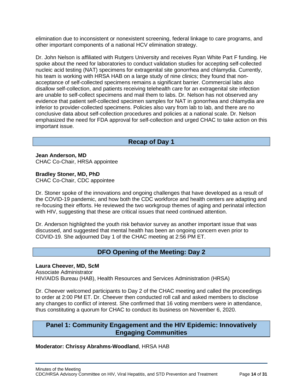elimination due to inconsistent or nonexistent screening, federal linkage to care programs, and other important components of a national HCV elimination strategy.

Dr. John Nelson is affiliated with Rutgers University and receives Ryan White Part F funding. He spoke about the need for laboratories to conduct validation studies for accepting self-collected nucleic acid testing (NAT) specimens for extragenital site gonorrhea and chlamydia. Currently, his team is working with HRSA HAB on a large study of nine clinics; they found that nonacceptance of self-collected specimens remains a significant barrier. Commercial labs also disallow self-collection, and patients receiving telehealth care for an extragenital site infection are unable to self-collect specimens and mail them to labs. Dr. Nelson has not observed any evidence that patient self-collected specimen samples for NAT in gonorrhea and chlamydia are inferior to provider-collected specimens. Policies also vary from lab to lab, and there are no conclusive data about self-collection procedures and policies at a national scale. Dr. Nelson emphasized the need for FDA approval for self-collection and urged CHAC to take action on this important issue.

## **Recap of Day 1**

<span id="page-15-0"></span>**Jean Anderson, MD** CHAC Co-Chair, HRSA appointee

**Bradley Stoner, MD, PhD** CHAC Co-Chair, CDC appointee

Dr. Stoner spoke of the innovations and ongoing challenges that have developed as a result of the COVID-19 pandemic, and how both the CDC workforce and health centers are adapting and re-focusing their efforts. He reviewed the two workgroup themes of aging and perinatal infection with HIV, suggesting that these are critical issues that need continued attention.

Dr. Anderson highlighted the youth risk behavior survey as another important issue that was discussed, and suggested that mental health has been an ongoing concern even prior to COVID-19. She adjourned Day 1 of the CHAC meeting at 2:56 PM ET.

## **DFO Opening of the Meeting: Day 2**

#### <span id="page-15-1"></span>**Laura Cheever, MD, ScM**

Associate Administrator HIV/AIDS Bureau (HAB), Health Resources and Services Administration (HRSA)

Dr. Cheever welcomed participants to Day 2 of the CHAC meeting and called the proceedings to order at 2:00 PM ET. Dr. Cheever then conducted roll call and asked members to disclose any changes to conflict of interest. She confirmed that 16 voting members were in attendance, thus constituting a quorum for CHAC to conduct its business on November 6, 2020.

## <span id="page-15-2"></span>**Panel 1: Community Engagement and the HIV Epidemic: Innovatively Engaging Communities**

#### **Moderator: Chrissy Abrahms-Woodland**, HRSA HAB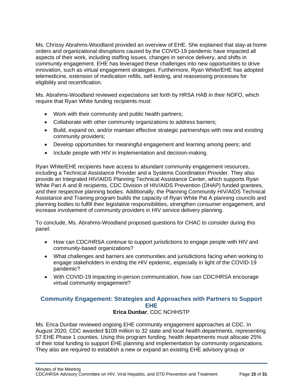Ms. Chrissy Abrahms-Woodland provided an overview of EHE. She explained that stay-at-home orders and organizational disruptions caused by the COVID-19 pandemic have impacted all aspects of their work, including staffing issues, changes in service delivery, and shifts in community engagement. EHE has leveraged these challenges into new opportunities to drive innovation, such as virtual engagement strategies. Furthermore, Ryan White/EHE has adopted telemedicine, extension of medication refills, self-testing, and reassessing processes for eligibility and recertification.

Ms. Abrahms-Woodland reviewed expectations set forth by HRSA HAB in their NOFO, which require that Ryan White funding recipients must:

- Work with their community and public health partners;
- Collaborate with other community organizations to address barriers;
- Build, expand on, and/or maintain effective strategic partnerships with new and existing community providers;
- Develop opportunities for meaningful engagement and learning among peers; and
- Include people with HIV in implementation and decision-making.

Ryan White/EHE recipients have access to abundant community engagement resources, including a Technical Assistance Provider and a Systems Coordination Provider. They also provide an Integrated HIV/AIDS Planning Technical Assistance Center, which supports Ryan White Part A and B recipients, CDC Division of HIV/AIDS Prevention (DHAP) funded grantees, and their respective planning bodies. Additionally, the Planning Community HIV/AIDS Technical Assistance and Training program builds the capacity of Ryan White Pat A planning councils and planning bodies to fulfill their legislative responsibilities, strengthen consumer engagement, and increase involvement of community providers in HIV service delivery planning.

To conclude, Ms. Abrahms-Woodland proposed questions for CHAC to consider during this panel:

- How can CDC/HRSA continue to support jurisdictions to engage people with HIV and community-based organizations?
- What challenges and barriers are communities and jurisdictions facing when working to engage stakeholders in ending the HIV epidemic, especially in light of the COVID-19 pandemic?
- With COVID-19 impacting in-person communication, how can CDC/HRSA encourage virtual community engagement?

## <span id="page-16-0"></span>**Community Engagement: Strategies and Approaches with Partners to Support EHE**

#### **Erica Dunbar**, CDC NCHHSTP

Ms. Erica Dunbar reviewed ongoing EHE community engagement approaches at CDC. In August 2020, CDC awarded \$109 million to 32 state and local health departments, representing 57 EHE Phase 1 counties. Using this program funding, health departments must allocate 25% of their total funding to support EHE planning and implementation by community organizations. They also are required to establish a new or expand an existing EHE advisory group or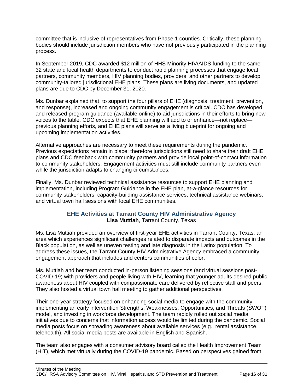committee that is inclusive of representatives from Phase 1 counties. Critically, these planning bodies should include jurisdiction members who have not previously participated in the planning process.

In September 2019, CDC awarded \$12 million of HHS Minority HIV/AIDS funding to the same 32 state and local health departments to conduct rapid planning processes that engage local partners, community members, HIV planning bodies, providers, and other partners to develop community-tailored jurisdictional EHE plans. These plans are living documents, and updated plans are due to CDC by December 31, 2020.

Ms. Dunbar explained that, to support the four pillars of EHE (diagnosis, treatment, prevention, and response), increased and ongoing community engagement is critical. CDC has developed and released program guidance (available online) to aid jurisdictions in their efforts to bring new voices to the table. CDC expects that EHE planning will add to or enhance—not replace previous planning efforts, and EHE plans will serve as a living blueprint for ongoing and upcoming implementation activities.

Alternative approaches are necessary to meet these requirements during the pandemic. Previous expectations remain in place; therefore jurisdictions still need to share their draft EHE plans and CDC feedback with community partners and provide local point-of-contact information to community stakeholders. Engagement activities must still include community partners even while the jurisdiction adapts to changing circumstances.

Finally, Ms. Dunbar reviewed technical assistance resources to support EHE planning and implementation, including Program Guidance in the EHE plan, at-a-glance resources for community stakeholders, capacity-building assistance services, technical assistance webinars, and virtual town hall sessions with local EHE communities.

### **EHE Activities at Tarrant County HIV Administrative Agency Lisa Muttiah**, Tarrant County, Texas

<span id="page-17-0"></span>Ms. Lisa Muttiah provided an overview of first-year EHE activities in Tarrant County, Texas, an area which experiences significant challenges related to disparate impacts and outcomes in the Black population, as well as uneven testing and late diagnosis in the Latinx population. To address these issues, the Tarrant County HIV Administrative Agency embraced a community engagement approach that includes and centers communities of color.

Ms. Muttiah and her team conducted in-person listening sessions (and virtual sessions post-COVID-19) with providers and people living with HIV, learning that younger adults desired public awareness about HIV coupled with compassionate care delivered by reflective staff and peers. They also hosted a virtual town hall meeting to gather additional perspectives.

Their one-year strategy focused on enhancing social media to engage with the community, implementing an early intervention Strengths, Weaknesses, Opportunities, and Threats (SWOT) model, and investing in workforce development. The team rapidly rolled out social media initiatives due to concerns that information access would be limited during the pandemic. Social media posts focus on spreading awareness about available services (e.g., rental assistance, telehealth). All social media posts are available in English and Spanish.

The team also engages with a consumer advisory board called the Health Improvement Team (HIT), which met virtually during the COVID-19 pandemic. Based on perspectives gained from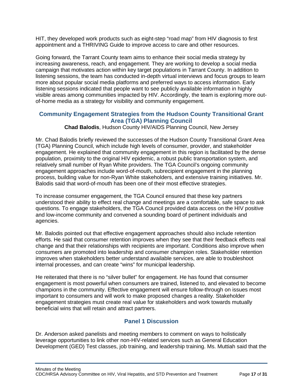HIT, they developed work products such as eight-step "road map" from HIV diagnosis to first appointment and a THRIVING Guide to improve access to care and other resources.

Going forward, the Tarrant County team aims to enhance their social media strategy by increasing awareness, reach, and engagement. They are working to develop a social media campaign that motivates action within key target populations in Tarrant County. In addition to listening sessions, the team has conducted in-depth virtual interviews and focus groups to learn more about popular social media platforms and preferred ways to access information. Early listening sessions indicated that people want to see publicly available information in highly visible areas among communities impacted by HIV. Accordingly, the team is exploring more outof-home media as a strategy for visibility and community engagement.

### <span id="page-18-0"></span>**Community Engagement Strategies from the Hudson County Transitional Grant Area (TGA) Planning Council**

**Chad Balodis**, Hudson County HIV/AIDS Planning Council, New Jersey

Mr. Chad Balodis briefly reviewed the successes of the Hudson County Transitional Grant Area (TGA) Planning Council, which include high levels of consumer, provider, and stakeholder engagement. He explained that community engagement in this region is facilitated by the dense population, proximity to the original HIV epidemic, a robust public transportation system, and relatively small number of Ryan White providers. The TGA Council's ongoing community engagement approaches include word-of-mouth, subrecipient engagement in the planning process, building value for non-Ryan White stakeholders, and extensive training initiatives. Mr. Balodis said that word-of-mouth has been one of their most effective strategies.

To increase consumer engagement, the TGA Council ensured that these key partners understood their ability to effect real change and meetings are a comfortable, safe space to ask questions. To engage stakeholders, the TGA Council provided data access on the HIV positive and low-income community and convened a sounding board of pertinent individuals and agencies.

Mr. Balodis pointed out that effective engagement approaches should also include retention efforts. He said that consumer retention improves when they see that their feedback effects real change and that their relationships with recipients are important. Conditions also improve when consumers are promoted into leadership and consumer champion roles. Stakeholder retention improves when stakeholders better understand available services, are able to troubleshoot internal processes, and can create "wins" for municipal leadership.

He reiterated that there is no "silver bullet" for engagement. He has found that consumer engagement is most powerful when consumers are trained, listened to, and elevated to become champions in the community. Effective engagement will ensure follow-through on issues most important to consumers and will work to make proposed changes a reality. Stakeholder engagement strategies must create real value for stakeholders and work towards mutually beneficial wins that will retain and attract partners.

## **Panel 1 Discussion**

<span id="page-18-1"></span>Dr. Anderson asked panelists and meeting members to comment on ways to holistically leverage opportunities to link other non-HIV-related services such as General Education Development (GED) Test classes, job training, and leadership training. Ms. Muttiah said that the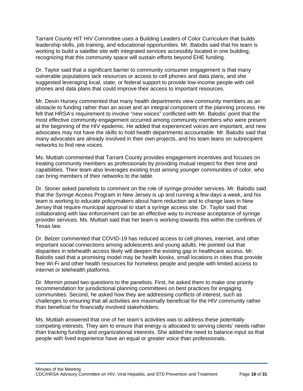Tarrant County HIT HIV Committee uses a Building Leaders of Color Curriculum that builds leadership skills, job training, and educational opportunities. Mr. Balodis said that his team is working to build a satellite site with integrated services accessibly located in one building, recognizing that this community space will sustain efforts beyond EHE funding.

Dr. Taylor said that a significant barrier to community consumer engagement is that many vulnerable populations lack resources or access to cell phones and data plans, and she suggested leveraging local, state, or federal support to provide low-income people with cell phones and data plans that could improve their access to important resources.

Mr. Devin Hursey commented that many health departments view community members as an obstacle to funding rather than an asset and an integral component of the planning process. He felt that HRSA's requirement to involve "new voices" conflicted with Mr. Balodis' point that the most effective community engagement occurred among community members who were present at the beginning of the HIV epidemic. He added that experienced voices are important, and new advocates may not have the skills to hold health departments accountable. Mr. Balodis said that many advocates are already involved in their own projects, and his team leans on subrecipient networks to find new voices.

Ms. Muttiah commented that Tarrant County provides engagement incentives and focuses on treating community members as professionals by providing mutual respect for their time and capabilities. Their team also leverages existing trust among younger communities of color, who can bring members of their networks to the table.

Dr. Stoner asked panelists to comment on the role of syringe provider services. Mr. Balodis said that the Syringe Access Program in New Jersey is up and running a few days a week, and his team is working to educate policymakers about harm reduction and to change laws in New Jersey that require municipal approval to start a syringe access site. Dr. Taylor said that collaborating with law enforcement can be an effective way to increase acceptance of syringe provider services. Ms. Muttiah said that her team is working towards this within the confines of Texas law.

Dr. Belzer commented that COVID-19 has reduced access to cell phones, internet, and other important social connections among adolescents and young adults. He pointed out that disparities in telehealth access likely will deepen the existing gap in healthcare access. Mr. Balodis said that a promising model may be health kiosks, small locations in cities that provide free Wi-Fi and other health resources for homeless people and people with limited access to internet or telehealth platforms.

Dr. Mermin posed two questions to the panelists. First, he asked them to make one priority recommendation for jurisdictional planning committees on best practices for engaging communities. Second, he asked how they are addressing conflicts of interest, such as challenges to ensuring that all activities are maximally beneficial for the HIV community rather than beneficial for financially involved stakeholders.

Ms. Muttiah answered that one of her team's activities was to address these potentially competing interests. They aim to ensure that energy is allocated to serving clients' needs rather than tracking funding and organizational interests. She added the need to balance input so that people with lived experience have an equal or greater voice than professionals.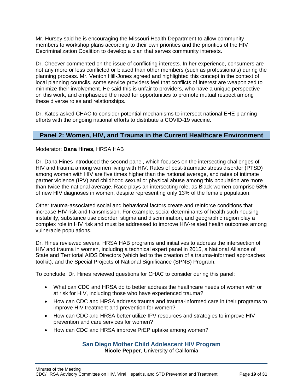Mr. Hursey said he is encouraging the Missouri Health Department to allow community members to workshop plans according to their own priorities and the priorities of the HIV Decriminalization Coalition to develop a plan that serves community interests.

Dr. Cheever commented on the issue of conflicting interests. In her experience, consumers are not any more or less conflicted or biased than other members (such as professionals) during the planning process. Mr. Venton Hill-Jones agreed and highlighted this concept in the context of local planning councils, some service providers feel that conflicts of interest are weaponized to minimize their involvement. He said this is unfair to providers, who have a unique perspective on this work, and emphasized the need for opportunities to promote mutual respect among these diverse roles and relationships.

Dr. Kates asked CHAC to consider potential mechanisms to intersect national EHE planning efforts with the ongoing national efforts to distribute a COVID-19 vaccine.

## <span id="page-20-0"></span>**Panel 2: Women, HIV, and Trauma in the Current Healthcare Environment**

#### Moderator: **Dana Hines,** HRSA HAB

Dr. Dana Hines introduced the second panel, which focuses on the intersecting challenges of HIV and trauma among women living with HIV. Rates of post-traumatic stress disorder (PTSD) among women with HIV are five times higher than the national average, and rates of intimate partner violence (IPV) and childhood sexual or physical abuse among this population are more than twice the national average. Race plays an intersecting role, as Black women comprise 58% of new HIV diagnoses in women, despite representing only 13% of the female population.

Other trauma-associated social and behavioral factors create and reinforce conditions that increase HIV risk and transmission. For example, social determinants of health such housing instability, substance use disorder, stigma and discrimination, and geographic region play a complex role in HIV risk and must be addressed to improve HIV-related health outcomes among vulnerable populations.

Dr. Hines reviewed several HRSA HAB programs and initiatives to address the intersection of HIV and trauma in women, including a technical expert panel in 2015, a National Alliance of State and Territorial AIDS Directors (which led to the creation of a trauma-informed approaches toolkit), and the Special Projects of National Significance (SPNS) Program.

To conclude, Dr. Hines reviewed questions for CHAC to consider during this panel:

- What can CDC and HRSA do to better address the healthcare needs of women with or at risk for HIV, including those who have experienced trauma?
- How can CDC and HRSA address trauma and trauma-informed care in their programs to improve HIV treatment and prevention for women?
- How can CDC and HRSA better utilize IPV resources and strategies to improve HIV prevention and care services for women?
- <span id="page-20-1"></span>• How can CDC and HRSA improve PrEP uptake among women?

### **San Diego Mother Child Adolescent HIV Program Nicole Pepper**, University of California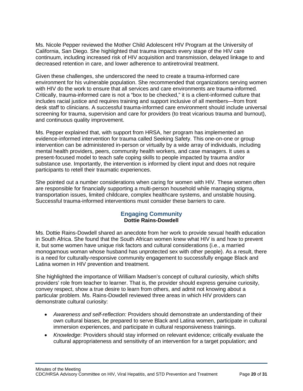Ms. Nicole Pepper reviewed the Mother Child Adolescent HIV Program at the University of California, San Diego. She highlighted that trauma impacts every stage of the HIV care continuum, including increased risk of HIV acquisition and transmission, delayed linkage to and decreased retention in care, and lower adherence to antiretroviral treatment.

Given these challenges, she underscored the need to create a trauma-informed care environment for his vulnerable population. She recommended that organizations serving women with HIV do the work to ensure that all services and care environments are trauma-informed. Critically, trauma-informed care is not a "box to be checked," it is a client-informed culture that includes racial justice and requires training and support inclusive of all members—from front desk staff to clinicians. A successful trauma-informed care environment should include universal screening for trauma, supervision and care for providers (to treat vicarious trauma and burnout), and continuous quality improvement.

Ms. Pepper explained that, with support from HRSA, her program has implemented an evidence-informed intervention for trauma called Seeking Safety. This one-on-one or group intervention can be administered in-person or virtually by a wide array of individuals, including mental health providers, peers, community health workers, and case managers. It uses a present-focused model to teach safe coping skills to people impacted by trauma and/or substance use. Importantly, the intervention is informed by client input and does not require participants to retell their traumatic experiences.

She pointed out a number considerations when caring for women with HIV. These women often are responsible for financially supporting a multi-person household while managing stigma, transportation issues, limited childcare, complex healthcare systems, and unstable housing. Successful trauma-informed interventions must consider these barriers to care.

### **Engaging Community Dottie Rains-Dowdell**

<span id="page-21-0"></span>Ms. Dottie Rains-Dowdell shared an anecdote from her work to provide sexual health education in South Africa. She found that the South African women knew what HIV is and how to prevent it, but some women have unique risk factors and cultural considerations (i.e., a married monogamous woman whose husband has unprotected sex with other people). As a result, there is a need for culturally-responsive community engagement to successfully engage Black and Latina women in HIV prevention and treatment.

She highlighted the importance of William Madsen's concept of cultural curiosity, which shifts providers' role from teacher to learner. That is, the provider should express genuine curiosity, convey respect, show a true desire to learn from others, and admit not knowing about a particular problem. Ms. Rains-Dowdell reviewed three areas in which HIV providers can demonstrate cultural curiosity:

- *Awareness and self-reflection:* Providers should demonstrate an understanding of their own cultural biases, be prepared to serve Black and Latina women, participate in cultural immersion experiences, and participate in cultural responsiveness trainings.
- *Knowledge*: Providers should stay informed on relevant evidence; critically evaluate the cultural appropriateness and sensitivity of an intervention for a target population; and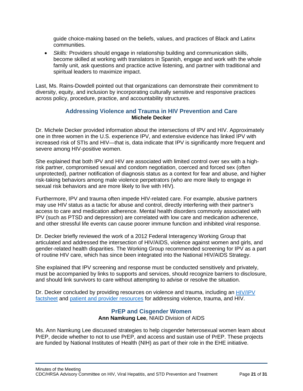guide choice-making based on the beliefs, values, and practices of Black and Latinx communities.

• *Skills:* Providers should engage in relationship building and communication skills, become skilled at working with translators in Spanish, engage and work with the whole family unit, ask questions and practice active listening, and partner with traditional and spiritual leaders to maximize impact.

Last, Ms. Rains-Dowdell pointed out that organizations can demonstrate their commitment to diversity, equity, and inclusion by incorporating culturally sensitive and responsive practices across policy, procedure, practice, and accountability structures.

### **Addressing Violence and Trauma in HIV Prevention and Care Michele Decker**

<span id="page-22-0"></span>Dr. Michele Decker provided information about the intersections of IPV and HIV. Approximately one in three women in the U.S. experience IPV, and extensive evidence has linked IPV with increased risk of STIs and HIV—that is, data indicate that IPV is significantly more frequent and severe among HIV-positive women.

She explained that both IPV and HIV are associated with limited control over sex with a highrisk partner, compromised sexual and condom negotiation, coerced and forced sex (often unprotected), partner notification of diagnosis status as a context for fear and abuse, and higher risk-taking behaviors among male violence perpetrators (who are more likely to engage in sexual risk behaviors and are more likely to live with HIV).

Furthermore, IPV and trauma often impede HIV-related care. For example, abusive partners may use HIV status as a tactic for abuse and control, directly interfering with their partner's access to care and medication adherence. Mental health disorders commonly associated with IPV (such as PTSD and depression) are correlated with low care and medication adherence, and other stressful life events can cause poorer immune function and inhibited viral response.

Dr. Decker briefly reviewed the work of a 2012 Federal Interagency Working Group that articulated and addressed the intersection of HIV/AIDS, violence against women and girls, and gender-related health disparities. The Working Group recommended screening for IPV as a part of routine HIV care, which has since been integrated into the National HIV/AIDS Strategy.

She explained that IPV screening and response must be conducted sensitively and privately, must be accompanied by links to supports and services, should recognize barriers to disclosure, and should link survivors to care without attempting to advise or resolve the situation.

<span id="page-22-1"></span>Dr. Decker concluded by providing resources on violence and trauma, including an [HIV/IPV](https://www.futureswithoutviolence.org/the-facts-on-violence-against-women-with-hivaids/)  [factsheet](https://www.futureswithoutviolence.org/the-facts-on-violence-against-women-with-hivaids/) and [patient and provider resources](https://www.futureswithoutviolence.org/hiv/) for addressing violence, trauma, and HIV.

### **PrEP and Cisgender Women Ann Namkung Lee**, NIAID Division of AIDS

Ms. Ann Namkung Lee discussed strategies to help cisgender heterosexual women learn about PrEP, decide whether to not to use PrEP, and access and sustain use of PrEP. These projects are funded by National Institutes of Health (NIH) as part of their role in the EHE initiative.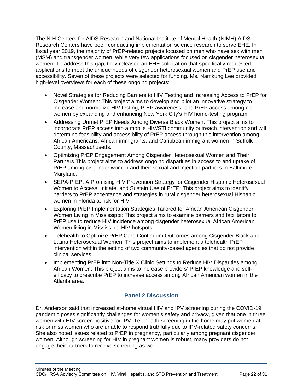The NIH Centers for AIDS Research and National Institute of Mental Health (NIMH) AIDS Research Centers have been conducting implementation science research to serve EHE. In fiscal year 2019, the majority of PrEP-related projects focused on men who have sex with men (MSM) and transgender women, while very few applications focused on cisgender heterosexual women. To address this gap, they released an EHE solicitation that specifically requested applications to meet the unique needs of cisgender heterosexual women and PrEP use and accessibility. Seven of these projects were selected for funding. Ms. Namkung Lee provided high-level overviews for each of these ongoing projects:

- Novel Strategies for Reducing Barriers to HIV Testing and Increasing Access to PrEP for Cisgender Women: This project aims to develop and pilot an innovative strategy to increase and normalize HIV testing, PrEP awareness, and PrEP access among cis women by expanding and enhancing New York City's HIV home-testing program.
- Addressing Unmet PrEP Needs Among Diverse Black Women: This project aims to incorporate PrEP access into a mobile HIV/STI community outreach intervention and will determine feasibility and accessibility of PrEP access through this intervention among African Americans, African immigrants, and Caribbean immigrant women in Suffolk County, Massachusetts.
- Optimizing PrEP Engagement Among Cisgender Heterosexual Women and Their Partners This project aims to address ongoing disparities in access to and uptake of PrEP among cisgender women and their sexual and injection partners in Baltimore, Maryland.
- SEPA-PrEP: A Promising HIV Prevention Strategy for Cisgender Hispanic Heterosexual Women to Access, Initiate, and Sustain Use of PrEP: This project aims to identify barriers to PrEP acceptance and strategies in rural cisgender heterosexual Hispanic women in Florida at risk for HIV.
- Exploring PrEP Implementation Strategies Tailored for African American Cisgender Women Living in Mississippi: This project aims to examine barriers and facilitators to PrEP use to reduce HIV incidence among cisgender heterosexual African American Women living in Mississippi HIV hotspots.
- Telehealth to Optimize PrEP Care Continuum Outcomes among Cisgender Black and Latina Heterosexual Women: This project aims to implement a telehealth PrEP intervention within the setting of two community-based agencies that do not provide clinical services.
- Implementing PrEP into Non-Title X Clinic Settings to Reduce HIV Disparities among African Women: This project aims to increase providers' PrEP knowledge and selfefficacy to prescribe PrEP to increase access among African American women in the Atlanta area.

## **Panel 2 Discussion**

<span id="page-23-0"></span>Dr. Anderson said that increased at-home virtual HIV and IPV screening during the COVID-19 pandemic poses significantly challenges for women's safety and privacy, given that one in three women with HIV screen positive for IPV. Telehealth screening in the home may put women at risk or miss women who are unable to respond truthfully due to IPV-related safety concerns. She also noted issues related to PrEP in pregnancy, particularly among pregnant cisgender women. Although screening for HIV in pregnant women is robust, many providers do not engage their partners to receive screening as well.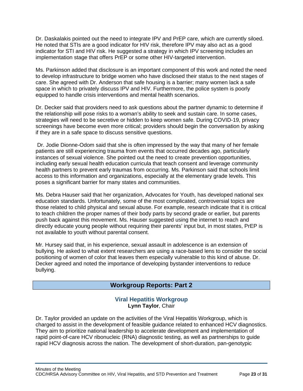Dr. Daskalakis pointed out the need to integrate IPV and PrEP care, which are currently siloed. He noted that STIs are a good indicator for HIV risk, therefore IPV may also act as a good indicator for STI and HIV risk. He suggested a strategy in which IPV screening includes an implementation stage that offers PrEP or some other HIV-targeted intervention.

Ms. Parkinson added that disclosure is an important component of this work and noted the need to develop infrastructure to bridge women who have disclosed their status to the next stages of care. She agreed with Dr. Anderson that safe housing is a barrier; many women lack a safe space in which to privately discuss IPV and HIV. Furthermore, the police system is poorly equipped to handle crisis interventions and mental health scenarios.

Dr. Decker said that providers need to ask questions about the partner dynamic to determine if the relationship will pose risks to a woman's ability to seek and sustain care. In some cases, strategies will need to be secretive or hidden to keep women safe. During COVID-19, privacy screenings have become even more critical; providers should begin the conversation by asking if they are in a safe space to discuss sensitive questions.

Dr. Jodie Dionne-Odom said that she is often impressed by the way that many of her female patients are still experiencing trauma from events that occurred decades ago, particularly instances of sexual violence. She pointed out the need to create prevention opportunities, including early sexual health education curricula that teach consent and leverage community health partners to prevent early traumas from occurring. Ms. Parkinson said that schools limit access to this information and organizations, especially at the elementary grade levels. This poses a significant barrier for many states and communities.

Ms. Debra Hauser said that her organization, Advocates for Youth, has developed national sex education standards. Unfortunately, some of the most complicated, controversial topics are those related to child physical and sexual abuse. For example, research indicate that it is critical to teach children the proper names of their body parts by second grade or earlier, but parents push back against this movement. Ms. Hauser suggested using the internet to reach and directly educate young people without requiring their parents' input but, in most states, PrEP is not available to youth without parental consent.

Mr. Hursey said that, in his experience, sexual assault in adolescence is an extension of bullying. He asked to what extent researchers are using a race-based lens to consider the social positioning of women of color that leaves them especially vulnerable to this kind of abuse. Dr. Decker agreed and noted the importance of developing bystander interventions to reduce bullying.

## **Workgroup Reports: Part 2**

### **Viral Hepatitis Workgroup Lynn Taylor**, Chair

<span id="page-24-1"></span><span id="page-24-0"></span>Dr. Taylor provided an update on the activities of the Viral Hepatitis Workgroup, which is charged to assist in the development of feasible guidance related to enhanced HCV diagnostics. They aim to prioritize national leadership to accelerate development and implementation of rapid point-of-care HCV ribonucleic (RNA) diagnostic testing, as well as partnerships to guide rapid HCV diagnosis across the nation. The development of short-duration, pan-genotypic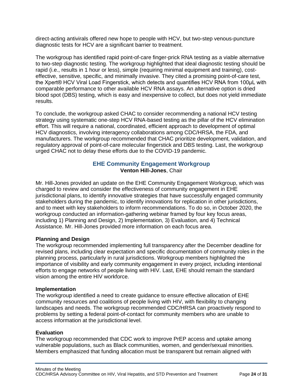direct-acting antivirals offered new hope to people with HCV, but two-step venous-puncture diagnostic tests for HCV are a significant barrier to treatment.

The workgroup has identified rapid point-of-care finger-prick RNA testing as a viable alternative to two-step diagnostic testing. The workgroup highlighted that ideal diagnostic testing should be rapid (i.e., results in 1 hour or less), simple (requiring minimal equipment and training), costeffective, sensitive, specific, and minimally invasive. They cited a promising point-of-care test, the Xpert® HCV Viral Load Fingerstick, which detects and quantifies HCV RNA from 100μL with comparable performance to other available HCV RNA assays. An alternative option is dried blood spot (DBS) testing, which is easy and inexpensive to collect, but does not yield immediate results.

To conclude, the workgroup asked CHAC to consider recommending a national HCV testing strategy using systematic one-step HCV RNA-based testing as the pillar of the HCV elimination effort. This will require a national, coordinated, efficient approach to development of optimal HCV diagnostics, involving interagency collaborations among CDC/HRSA, the FDA, and manufacturers. The workgroup recommended that CHAC prioritize development, validation, and regulatory approval of point-of-care molecular fingerstick and DBS testing. Last, the workgroup urged CHAC not to delay these efforts due to the COVID-19 pandemic.

### **EHE Community Engagement Workgroup Venton Hill-Jones**, Chair

<span id="page-25-0"></span>Mr. Hill-Jones provided an update on the EHE Community Engagement Workgroup, which was charged to review and consider the effectiveness of community engagement in EHE jurisdictional plans, to identify innovative strategies that have successfully engaged community stakeholders during the pandemic, to identify innovations for replication in other jurisdictions, and to meet with key stakeholders to inform recommendations. To do so, in October 2020, the workgroup conducted an information-gathering webinar framed by four key focus areas, including 1) Planning and Design, 2) Implementation, 3) Evaluation, and 4) Technical Assistance. Mr. Hill-Jones provided more information on each focus area.

#### **Planning and Design**

The workgroup recommended implementing full transparency after the December deadline for revised plans, including clear expectation and specific documentation of community roles in the planning process, particularly in rural jurisdictions. Workgroup members highlighted the importance of visibility and early community engagement in every project, including intentional efforts to engage networks of people living with HIV. Last, EHE should remain the standard vision among the entire HIV workforce.

#### **Implementation**

The workgroup identified a need to create guidance to ensure effective allocation of EHE community resources and coalitions of people living with HIV, with flexibility to changing landscapes and needs. The workgroup recommended CDC/HRSA can proactively respond to problems by setting a federal point-of-contact for community members who are unable to access information at the jurisdictional level.

#### **Evaluation**

The workgroup recommended that CDC work to improve PrEP access and uptake among vulnerable populations, such as Black communities, women, and gender/sexual minorities. Members emphasized that funding allocation must be transparent but remain aligned with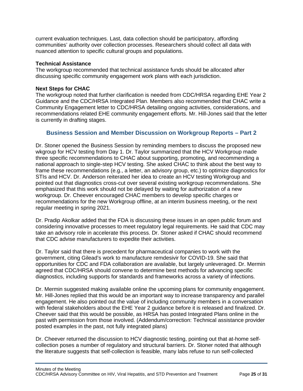current evaluation techniques. Last, data collection should be participatory, affording communities' authority over collection processes. Researchers should collect all data with nuanced attention to specific cultural groups and populations.

#### **Technical Assistance**

The workgroup recommended that technical assistance funds should be allocated after discussing specific community engagement work plans with each jurisdiction.

#### **Next Steps for CHAC**

The workgroup noted that further clarification is needed from CDC/HRSA regarding EHE Year 2 Guidance and the CDC/HRSA Integrated Plan. Members also recommended that CHAC write a Community Engagement letter to CDC/HRSA detailing ongoing activities, considerations, and recommendations related EHE community engagement efforts. Mr. Hill-Jones said that the letter is currently in drafting stages.

### <span id="page-26-0"></span>**Business Session and Member Discussion on Workgroup Reports – Part 2**

Dr. Stoner opened the Business Session by reminding members to discuss the proposed new wkgroup for HCV testing from Day 1. Dr. Taylor summarized that the HCV Workgroup made three specific recommendations to CHAC about supporting, promoting, and recommending a national approach to single-step HCV testing. She asked CHAC to think about the best way to frame these recommendations (e.g., a letter, an advisory group, etc.) to optimize diagnostics for STIs and HCV. Dr. Anderson reiterated her idea to create an HCV testing Workgroup and pointed out that diagnostics cross-cut over several existing workgroup recommendations. She emphasized that this work should not be delayed by waiting for authorization of a new workgroup. Dr. Cheever encouraged CHAC members to develop specific charges or recommendations for the new Workgroup offline, at an interim business meeting, or the next regular meeting in spring 2021.

Dr. Pradip Akolkar added that the FDA is discussing these issues in an open public forum and considering innovative processes to meet regulatory legal requirements. He said that CDC may take an advisory role in accelerate this process. Dr. Stoner asked if CHAC should recommend that CDC advise manufacturers to expedite their activities.

Dr. Taylor said that there is precedent for pharmaceutical companies to work with the government, citing Gilead's work to manufacture remdesivir for COVID-19. She said that opportunities for CDC and FDA collaboration are available, but largely unleveraged. Dr. Mermin agreed that CDC/HRSA should convene to determine best methods for advancing specific diagnostics, including supports for standards and frameworks across a variety of infections.

Dr. Mermin suggested making available online the upcoming plans for community engagement. Mr. Hill-Jones replied that this would be an important way to increase transparency and parallel engagement. He also pointed out the value of including community members in a conversation with federal stakeholders about the EHE Year 2 guidance before it is released and finalized. Dr. Cheever said that this would be possible, as HRSA has posted Integrated Plans online in the past with permission from those involved. (Addendum/correction: Technical assistance provider posted examples in the past, not fully integrated plans)

Dr. Cheever returned the discussion to HCV diagnostic testing, pointing out that at-home selfcollection poses a number of regulatory and structural barriers. Dr. Stoner noted that although the literature suggests that self-collection is feasible, many labs refuse to run self-collected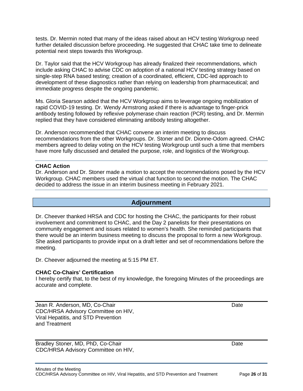tests. Dr. Mermin noted that many of the ideas raised about an HCV testing Workgroup need further detailed discussion before proceeding. He suggested that CHAC take time to delineate potential next steps towards this Workgroup.

Dr. Taylor said that the HCV Workgroup has already finalized their recommendations, which include asking CHAC to advise CDC on adoption of a national HCV testing strategy based on single-step RNA based testing; creation of a coordinated, efficient, CDC-led approach to development of these diagnostics rather than relying on leadership from pharmaceutical; and immediate progress despite the ongoing pandemic.

Ms. Gloria Searson added that the HCV Workgroup aims to leverage ongoing mobilization of rapid COVID-19 testing. Dr. Wendy Armstrong asked if there is advantage to finger-prick antibody testing followed by reflexive polymerase chain reaction (PCR) testing, and Dr. Mermin replied that they have considered eliminating antibody testing altogether.

Dr. Anderson recommended that CHAC convene an interim meeting to discuss recommendations from the other Workgroups. Dr. Stoner and Dr. Dionne-Odom agreed. CHAC members agreed to delay voting on the HCV testing Workgroup until such a time that members have more fully discussed and detailed the purpose, role, and logistics of the Workgroup.

#### **CHAC Action**

Dr. Anderson and Dr. Stoner made a motion to accept the recommendations posed by the HCV Workgroup. CHAC members used the virtual chat function to second the motion. The CHAC decided to address the issue in an interim business meeting in February 2021.

### **Adjournment**

<span id="page-27-0"></span>Dr. Cheever thanked HRSA and CDC for hosting the CHAC, the participants for their robust involvement and commitment to CHAC, and the Day 2 panelists for their presentations on community engagement and issues related to women's health. She reminded participants that there would be an interim business meeting to discuss the proposal to form a new Workgroup. She asked participants to provide input on a draft letter and set of recommendations before the meeting.

Dr. Cheever adjourned the meeting at 5:15 PM ET.

#### **CHAC Co-Chairs' Certification**

I hereby certify that, to the best of my knowledge, the foregoing Minutes of the proceedings are accurate and complete.

Jean R. Anderson, MD, Co-Chair Date Date Date Date Date Date CDC/HRSA Advisory Committee on HIV, Viral Hepatitis, and STD Prevention and Treatment

Bradley Stoner, MD, PhD, Co-Chair Date Date Date Date Date CDC/HRSA Advisory Committee on HIV,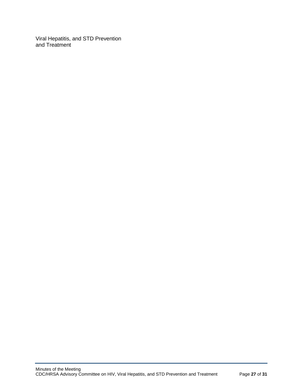Viral Hepatitis, and STD Prevention and Treatment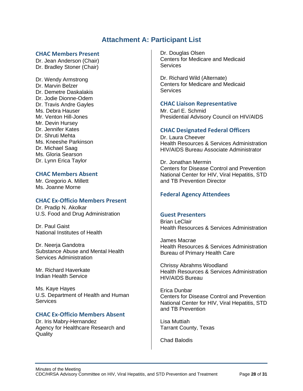## **Attachment A: Participant List**

#### <span id="page-29-0"></span>**CHAC Members Present**

Dr. Jean Anderson (Chair) Dr. Bradley Stoner (Chair)

Dr. Wendy Armstrong Dr. Marvin Belzer Dr. Demetre Daskalakis Dr. Jodie Dionne-Odem Dr. Travis Andre Gayles Ms. Debra Hauser Mr. Venton Hill-Jones Mr. Devin Hursey Dr. Jennifer Kates Dr. Shruti Mehta Ms. Kneeshe Parkinson Dr. Michael Saag Ms. Gloria Searson Dr. Lynn Erica Taylor

#### **CHAC Members Absent**

Mr. Gregorio A. Millett Ms. Joanne Morne

#### **CHAC Ex-Officio Members Present**

Dr. Pradip N. Akolkar U.S. Food and Drug Administration

Dr. Paul Gaist National Institutes of Health

Dr. Neerja Gandotra Substance Abuse and Mental Health Services Administration

Mr. Richard Haverkate Indian Health Service

Ms. Kaye Hayes U.S. Department of Health and Human **Services** 

#### **CHAC Ex-Officio Members Absent**

Dr. Iris Mabry-Hernandez Agency for Healthcare Research and **Quality** 

Dr. Douglas Olsen Centers for Medicare and Medicaid **Services** 

Dr. Richard Wild (Alternate) Centers for Medicare and Medicaid **Services** 

#### **CHAC Liaison Representative**

Mr. Carl E. Schmid Presidential Advisory Council on HIV/AIDS

#### **CHAC Designated Federal Officers**

Dr. Laura Cheever Health Resources & Services Administration HIV/AIDS Bureau Associate Administrator

Dr. Jonathan Mermin Centers for Disease Control and Prevention National Center for HIV, Viral Hepatitis, STD and TB Prevention Director

#### **Federal Agency Attendees**

#### **Guest Presenters**

Brian LeClair Health Resources & Services Administration

James Macrae Health Resources & Services Administration Bureau of Primary Health Care

Chrissy Abrahms Woodland Health Resources & Services Administration HIV/AIDS Bureau

Erica Dunbar Centers for Disease Control and Prevention National Center for HIV, Viral Hepatitis, STD and TB Prevention

Lisa Muttiah Tarrant County, Texas

Chad Balodis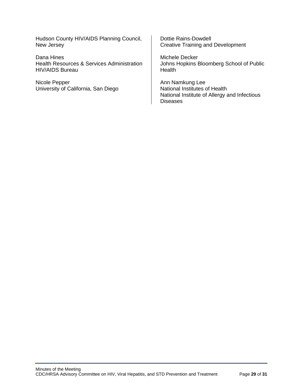Hudson County HIV/AIDS Planning Council, New Jersey

Dana Hines Health Resources & Services Administration HIV/AIDS Bureau

Nicole Pepper University of California, San Diego

Dottie Rains-Dowdell Creative Training and Development

Michele Decker Johns Hopkins Bloomberg School of Public **Health** 

Ann Namkung Lee National Institutes of Health National Institute of Allergy and Infectious **Diseases**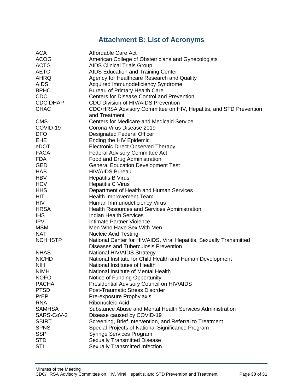# **Attachment B: List of Acronyms**

<span id="page-31-0"></span>

| <b>ACA</b>      | Affordable Care Act                                                  |
|-----------------|----------------------------------------------------------------------|
| <b>ACOG</b>     | American College of Obstetricians and Gynecologists                  |
| <b>ACTG</b>     | <b>AIDS Clinical Trials Group</b>                                    |
| <b>AETC</b>     | <b>AIDS Education and Training Center</b>                            |
| AHRQ            | Agency for Healthcare Research and Quality                           |
| <b>AIDS</b>     | Acquired Immunodeficiency Syndrome                                   |
| <b>BPHC</b>     | <b>Bureau of Primary Health Care</b>                                 |
| <b>CDC</b>      | <b>Centers for Disease Control and Prevention</b>                    |
| <b>CDC DHAP</b> | <b>CDC Division of HIV/AIDS Prevention</b>                           |
| <b>CHAC</b>     | CDC/HRSA Advisory Committee on HIV, Hepatitis, and STD Prevention    |
|                 | and Treatment                                                        |
| <b>CMS</b>      | <b>Centers for Medicare and Medicaid Service</b>                     |
| COVID-19        | Corona Virus Disease 2019                                            |
| <b>DFO</b>      | <b>Designated Federal Officer</b>                                    |
| <b>EHE</b>      |                                                                      |
|                 | Ending the HIV Epidemic<br><b>Electronic Direct Observed Therapy</b> |
| eDOT            |                                                                      |
| <b>FACA</b>     | <b>Federal Advisory Committee Act</b>                                |
| <b>FDA</b>      | Food and Drug Administration                                         |
| GED             | <b>General Education Development Test</b>                            |
| <b>HAB</b>      | <b>HIV/AIDS Bureau</b>                                               |
| <b>HBV</b>      | <b>Hepatitis B Virus</b>                                             |
| <b>HCV</b>      | <b>Hepatitis C Virus</b>                                             |
| <b>HHS</b>      | Department of Health and Human Services                              |
| HIT             | Health Improvement Team                                              |
| <b>HIV</b>      | Human Immunodeficiency Virus                                         |
| <b>HRSA</b>     | <b>Health Resources and Services Administration</b>                  |
| <b>IHS</b>      | <b>Indian Health Services</b>                                        |
| <b>IPV</b>      | Intimate Partner Violence                                            |
| <b>MSM</b>      | Men Who Have Sex With Men                                            |
| <b>NAT</b>      | <b>Nucleic Acid Testing</b>                                          |
| <b>NCHHSTP</b>  | National Center for HIV/AIDS, Viral Hepatitis, Sexually Transmitted  |
|                 | Diseases and Tuberculosis Prevention                                 |
| <b>NHAS</b>     | National HIV/AIDS Strategy                                           |
| <b>NICHD</b>    | National Institute for Child Health and Human Development            |
| <b>NIH</b>      | National Institutes of Health                                        |
| <b>NIMH</b>     | National Institute of Mental Health                                  |
| <b>NOFO</b>     | Notice of Funding Opportunity                                        |
| <b>PACHA</b>    | Presidential Advisory Council on HIV/AIDS                            |
| <b>PTSD</b>     | <b>Post-Traumatic Stress Disorder</b>                                |
| PrEP            | Pre-exposure Prophylaxis                                             |
| <b>RNA</b>      | Ribonucleic Acid                                                     |
| <b>SAMHSA</b>   | Substance Abuse and Mental Health Services Administration            |
| SARS-CoV-2      | Disease caused by COVID-19                                           |
| <b>SBIRT</b>    | Screening, Brief Intervention, and Referral to Treatment             |
| <b>SPNS</b>     | Special Projects of National Significance Program                    |
| <b>SSP</b>      | <b>Syringe Services Program</b>                                      |
| <b>STD</b>      | <b>Sexually Transmitted Disease</b>                                  |
| <b>STI</b>      | <b>Sexually Transmitted Infection</b>                                |
|                 |                                                                      |